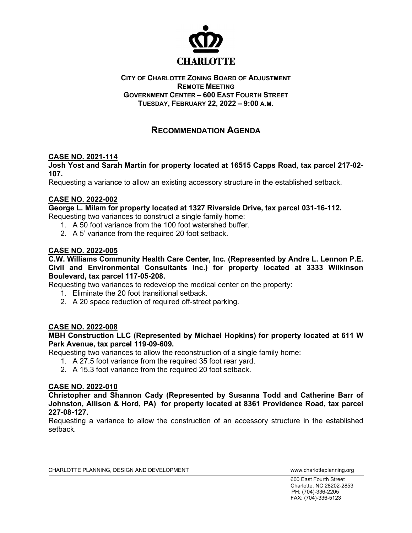

#### **CITY OF CHARLOTTE ZONING BOARD OF ADJUSTMENT REMOTE MEETING GOVERNMENT CENTER – 600 EAST FOURTH STREET TUESDAY, FEBRUARY 22, 2022 – 9:00 A.M.**

# **RECOMMENDATION AGENDA**

# **CASE NO. 2021-114**

**Josh Yost and Sarah Martin for property located at 16515 Capps Road, tax parcel 217-02- 107.**

Requesting a variance to allow an existing accessory structure in the established setback.

# **CASE NO. 2022-002**

**George L. Milam for property located at 1327 Riverside Drive, tax parcel 031-16-112.**

Requesting two variances to construct a single family home:

- 1. A 50 foot variance from the 100 foot watershed buffer.
- 2. A 5' variance from the required 20 foot setback.

# **CASE NO. 2022-005**

**C.W. Williams Community Health Care Center, Inc. (Represented by Andre L. Lennon P.E. Civil and Environmental Consultants Inc.) for property located at 3333 Wilkinson Boulevard, tax parcel 117-05-208.** 

Requesting two variances to redevelop the medical center on the property:

- 1. Eliminate the 20 foot transitional setback.
- 2. A 20 space reduction of required off-street parking.

# **CASE NO. 2022-008**

**MBH Construction LLC (Represented by Michael Hopkins) for property located at 611 W Park Avenue, tax parcel 119-09-609.** 

Requesting two variances to allow the reconstruction of a single family home:

- 1. A 27.5 foot variance from the required 35 foot rear yard.
- 2. A 15.3 foot variance from the required 20 foot setback.

# **CASE NO. 2022-010**

**Christopher and Shannon Cady (Represented by Susanna Todd and Catherine Barr of Johnston, Allison & Hord, PA) for property located at 8361 Providence Road, tax parcel 227-08-127.** 

Requesting a variance to allow the construction of an accessory structure in the established setback.

600 East Fourth Street Charlotte, NC 28202-2853 PH: (704)-336-2205 FAX: (704)-336-5123